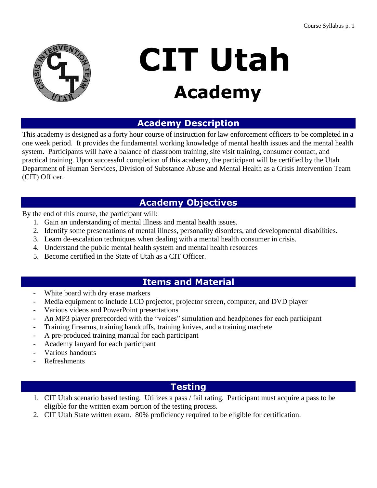

# **CIT Utah Academy**

## **Academy Description**

This academy is designed as a forty hour course of instruction for law enforcement officers to be completed in a one week period. It provides the fundamental working knowledge of mental health issues and the mental health system. Participants will have a balance of classroom training, site visit training, consumer contact, and practical training. Upon successful completion of this academy, the participant will be certified by the Utah Department of Human Services, Division of Substance Abuse and Mental Health as a Crisis Intervention Team (CIT) Officer.

## **Academy Objectives**

By the end of this course, the participant will:

- 1. Gain an understanding of mental illness and mental health issues.
- 2. Identify some presentations of mental illness, personality disorders, and developmental disabilities.
- 3. Learn de-escalation techniques when dealing with a mental health consumer in crisis.
- 4. Understand the public mental health system and mental health resources
- 5. Become certified in the State of Utah as a CIT Officer.

## **Items and Material**

- White board with dry erase markers
- Media equipment to include LCD projector, projector screen, computer, and DVD player
- Various videos and PowerPoint presentations
- An MP3 player prerecorded with the "voices" simulation and headphones for each participant
- Training firearms, training handcuffs, training knives, and a training machete
- A pre-produced training manual for each participant
- Academy lanyard for each participant
- Various handouts
- **Refreshments**

## **Testing**

- 1. CIT Utah scenario based testing. Utilizes a pass / fail rating. Participant must acquire a pass to be eligible for the written exam portion of the testing process.
- 2. CIT Utah State written exam. 80% proficiency required to be eligible for certification.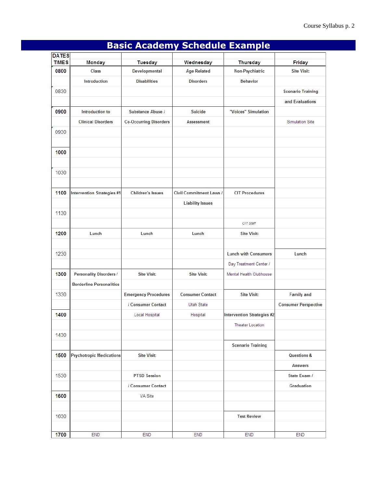| <b>DATES</b> |                                 |                               |                                |                             |                             |
|--------------|---------------------------------|-------------------------------|--------------------------------|-----------------------------|-----------------------------|
| <b>TIMES</b> | Monday                          | <b>Tuesday</b>                | Wednesday                      | <b>Thursday</b>             | <b>Friday</b>               |
| 0800         | Class                           | Developmental                 | <b>Age Related</b>             | Non-Psychiatric             | <b>Site Visit:</b>          |
|              | Introduction                    | <b>Disabilities</b>           | <b>Disorders</b>               | <b>Behavior</b>             |                             |
| 0830         |                                 |                               |                                |                             | <b>Scenario Training</b>    |
|              |                                 |                               |                                |                             | and Evaluations             |
| 0900         | Introduction to                 | <b>Substance Abuse /</b>      | <b>Suicide</b>                 | "Voices" Simulation         |                             |
|              | <b>Clinical Disorders</b>       | <b>Co-Occurring Disorders</b> | <b>Assessment</b>              |                             | <b>Simulation Site</b>      |
| 0930         |                                 |                               |                                |                             |                             |
|              |                                 |                               |                                |                             |                             |
| 1000         |                                 |                               |                                |                             |                             |
|              |                                 |                               |                                |                             |                             |
| 1030         |                                 |                               |                                |                             |                             |
|              |                                 |                               |                                |                             |                             |
| 1100         | Intervention Strategies #1      | <b>Children's Issues</b>      | <b>Civil Commitment Laws /</b> | <b>CIT Procedures</b>       |                             |
|              |                                 |                               | <b>Liability Issues</b>        |                             |                             |
| 1130         |                                 |                               |                                |                             |                             |
|              |                                 |                               |                                | CIT Staff                   |                             |
| 1200         | Lunch                           | Lunch                         | Lunch                          | <b>Site Visit:</b>          |                             |
|              |                                 |                               |                                |                             |                             |
| 1230         |                                 |                               |                                | <b>Lunch with Consumers</b> | Lunch                       |
|              |                                 |                               |                                | Day Treatment Center /      |                             |
| 1300         | <b>Personality Disorders /</b>  | <b>Site Visit:</b>            | <b>Site Visit:</b>             | Mental Health Clubhouse     |                             |
|              | <b>Borderline Personalities</b> |                               |                                |                             |                             |
| 1330         |                                 | <b>Emergency Procedures</b>   | <b>Consumer Contact</b>        | <b>Site Visit:</b>          | <b>Family and</b>           |
|              |                                 | / Consumer Contact            | Utah State                     |                             | <b>Consumer Perspective</b> |
| 1400         |                                 | Local Hospital                | Hospital                       | Intervention Strategies #2  |                             |
|              |                                 |                               |                                | Theater Location            |                             |
| 1430         |                                 |                               |                                |                             |                             |
|              |                                 |                               |                                | <b>Scenario Training</b>    |                             |
| 1500         | Psychotropic Medications        | <b>Site Visit:</b>            |                                |                             | <b>Questions &amp;</b>      |
|              |                                 |                               |                                |                             | <b>Answers</b>              |
| 1530         |                                 | <b>PTSD Session</b>           |                                |                             | State Exam /                |
|              |                                 | / Consumer Contact            |                                |                             | Graduation                  |
| 1600         |                                 | <b>VA Site</b>                |                                |                             |                             |
|              |                                 |                               |                                |                             |                             |
| 1630         |                                 |                               |                                | <b>Test Review</b>          |                             |
|              |                                 |                               |                                |                             |                             |
| 1700         | <b>END</b>                      | <b>END</b>                    | <b>END</b>                     | <b>END</b>                  | <b>END</b>                  |

# **Basic Academy Schedule Example**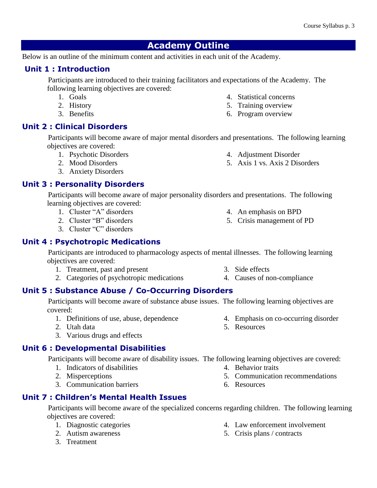## **Academy Outline**

Below is an outline of the minimum content and activities in each unit of the Academy.

#### **Unit 1 : Introduction**

 Participants are introduced to their training facilitators and expectations of the Academy. The following learning objectives are covered:

- 1. Goals
- 2. History
- 3. Benefits

## **Unit 2 : Clinical Disorders**

 Participants will become aware of major mental disorders and presentations. The following learning objectives are covered:

- 1. Psychotic Disorders
- 2. Mood Disorders
- 3. Anxiety Disorders

#### **Unit 3 : Personality Disorders**

 Participants will become aware of major personality disorders and presentations. The following learning objectives are covered:

- 1. Cluster "A" disorders
- 2. Cluster "B" disorders
- 3. Cluster "C" disorders

## **Unit 4 : Psychotropic Medications**

 Participants are introduced to pharmacology aspects of mental illnesses. The following learning objectives are covered:

- 1. Treatment, past and present
- 2. Categories of psychotropic medications

## **Unit 5 : Substance Abuse / Co-Occurring Disorders**

 Participants will become aware of substance abuse issues. The following learning objectives are covered:

- 1. Definitions of use, abuse, dependence
- 2. Utah data
- 3. Various drugs and effects

## **Unit 6 : Developmental Disabilities**

Participants will become aware of disability issues. The following learning objectives are covered:

- 1. Indicators of disabilities
- 2. Misperceptions
- 3. Communication barriers

## **Unit 7 : Children's Mental Health Issues**

 Participants will become aware of the specialized concerns regarding children. The following learning objectives are covered:

- 1. Diagnostic categories
- 2. Autism awareness
- 3. Treatment
- 4. Law enforcement involvement
- 5. Crisis plans / contracts

4. An emphasis on BPD

4. Adjustment Disorder 5. Axis 1 vs. Axis 2 Disorders

4. Statistical concerns 5. Training overview 6. Program overview

- 5. Crisis management of PD
- 4. Causes of non-compliance

- 4. Behavior traits
- 5. Communication recommendations

4. Emphasis on co-occurring disorder

6. Resources

5. Resources

3. Side effects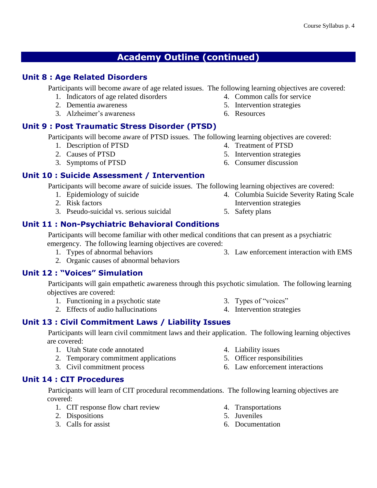## **Academy Outline (continued)**

## **Unit 8 : Age Related Disorders**

Participants will become aware of age related issues. The following learning objectives are covered:

- 1. Indicators of age related disorders
- 2. Dementia awareness
- 3. Alzheimer's awareness

## **Unit 9 : Post Traumatic Stress Disorder (PTSD)**

Participants will become aware of PTSD issues. The following learning objectives are covered:

- 1. Description of PTSD
- 2. Causes of PTSD
- 3. Symptoms of PTSD

## **Unit 10 : Suicide Assessment / Intervention**

Participants will become aware of suicide issues. The following learning objectives are covered:

- 1. Epidemiology of suicide
- 2. Risk factors
- 3. Pseudo-suicidal vs. serious suicidal

## **Unit 11 : Non-Psychiatric Behavioral Conditions**

 Participants will become familiar with other medical conditions that can present as a psychiatric emergency. The following learning objectives are covered:

- 1. Types of abnormal behaviors
- 2. Organic causes of abnormal behaviors

## **Unit 12 : "Voices" Simulation**

 Participants will gain empathetic awareness through this psychotic simulation. The following learning objectives are covered:

- 1. Functioning in a psychotic state
- 2. Effects of audio hallucinations

## **Unit 13 : Civil Commitment Laws / Liability Issues**

 Participants will learn civil commitment laws and their application. The following learning objectives are covered:

- 1. Utah State code annotated
- 2. Temporary commitment applications
- 3. Civil commitment process

## **Unit 14 : CIT Procedures**

 Participants will learn of CIT procedural recommendations. The following learning objectives are covered:

- 1. CIT response flow chart review
- 2. Dispositions
- 3. Calls for assist

4. Transportations

4. Liability issues

- 5. Juveniles
- 6. Documentation

4. Columbia Suicide Severity Rating Scale

3. Law enforcement interaction with EMS

- 5. Safety plans
- Intervention strategies
- 

- 
- 3. Types of "voices"
- 4. Intervention strategies

5. Officer responsibilities 6. Law enforcement interactions

- 4. Common calls for service
- 5. Intervention strategies

4. Treatment of PTSD 5. Intervention strategies 6. Consumer discussion

6. Resources